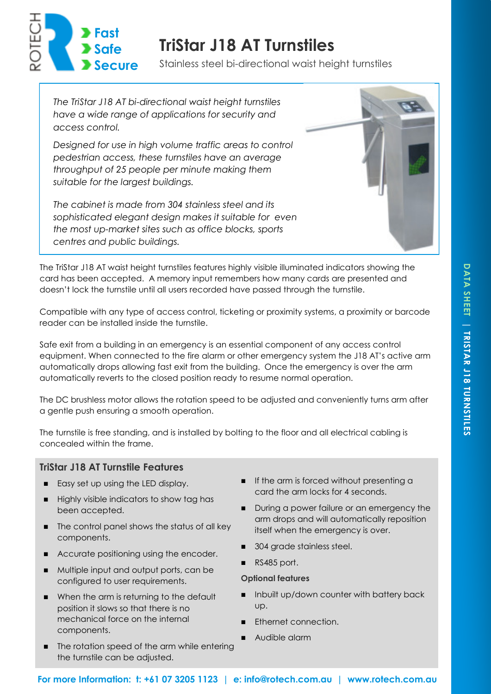

# **TriStar J18 AT Turnstiles**

Stainless steel bi-directional waist height turnstiles

*The TriStar J18 AT bi-directional waist height turnstiles have a wide range of applications for security and access control.* 

*Designed for use in high volume traffic areas to control pedestrian access, these turnstiles have an average throughput of 25 people per minute making them suitable for the largest buildings.* 

*The cabinet is made from 304 stainless steel and its sophisticated elegant design makes it suitable for even the most up-market sites such as office blocks, sports centres and public buildings.* 



The TriStar J18 AT waist height turnstiles features highly visible illuminated indicators showing the card has been accepted. A memory input remembers how many cards are presented and doesn't lock the turnstile until all users recorded have passed through the turnstile.

Compatible with any type of access control, ticketing or proximity systems, a proximity or barcode reader can be installed inside the turnstile.

Safe exit from a building in an emergency is an essential component of any access control equipment. When connected to the fire alarm or other emergency system the J18 AT's active arm automatically drops allowing fast exit from the building. Once the emergency is over the arm automatically reverts to the closed position ready to resume normal operation.

The DC brushless motor allows the rotation speed to be adjusted and conveniently turns arm after a gentle push ensuring a smooth operation.

The turnstile is free standing, and is installed by bolting to the floor and all electrical cabling is concealed within the frame.

## **TriStar J18 AT Turnstile Features**

- Easy set up using the LED display.
- Highly visible indicators to show tag has been accepted.
- The control panel shows the status of all key components.
- Accurate positioning using the encoder.
- Multiple input and output ports, can be configured to user requirements.
- When the arm is returning to the default position it slows so that there is no mechanical force on the internal components.
- The rotation speed of the arm while entering the turnstile can be adjusted.
- If the arm is forced without presenting a card the arm locks for 4 seconds.
- During a power failure or an emergency the arm drops and will automatically reposition itself when the emergency is over.
- ◼ 304 grade stainless steel.
- RS485 port.

#### **Optional features**

- Inbuilt up/down counter with battery back up.
- Ethernet connection.
- Audible alarm